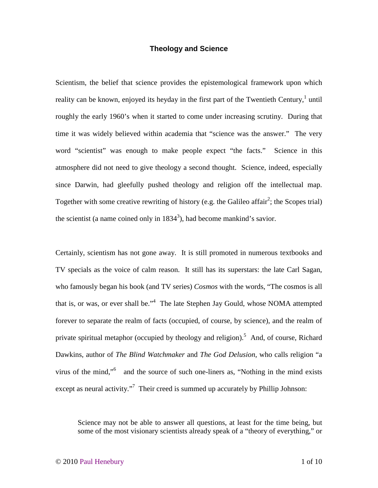## **Theology and Science**

Scientism, the belief that science provides the epistemological framework upon which reality can be known, enjoyed its heyday in the first part of the Twentieth Century,  $1$  until roughly the early 1960's when it started to come under increasing scrutiny. During that time it was widely believed within academia that "science was the answer." The very word "scientist" was enough to make people expect "the facts." Science in this atmosphere did not need to give theology a second thought. Science, indeed, especially since Darwin, had gleefully pushed theology and religion off the intellectual map. Together with some creative rewriting of history (e.g. the Galileo affair<sup>2</sup>; the Scopes trial) the scientist (a name coined only in  $1834^3$ ), had become mankind's savior.

Certainly, scientism has not gone away. It is still promoted in numerous textbooks and TV specials as the voice of calm reason. It still has its superstars: the late Carl Sagan, who famously began his book (and TV series) *Cosmos* with the words, "The cosmos is all that is, or was, or ever shall be."<sup>4</sup> The late Stephen Jay Gould, whose NOMA attempted forever to separate the realm of facts (occupied, of course, by science), and the realm of private spiritual metaphor (occupied by theology and religion).<sup>5</sup> And, of course, Richard Dawkins, author of *The Blind Watchmaker* and *The God Delusion*, who calls religion "a virus of the mind,"<sup>6</sup> and the source of such one-liners as, "Nothing in the mind exists except as neural activity."<sup>7</sup> Their creed is summed up accurately by Phillip Johnson:

Science may not be able to answer all questions, at least for the time being, but some of the most visionary scientists already speak of a "theory of everything," or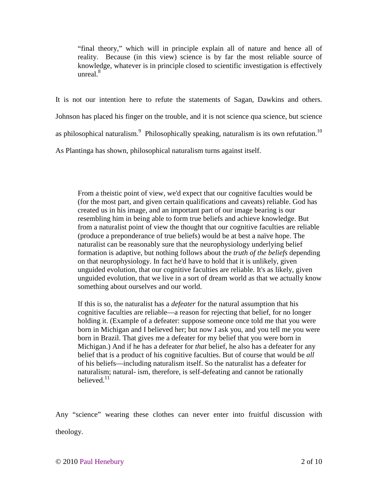"final theory," which will in principle explain all of nature and hence all of reality. Because (in this view) science is by far the most reliable source of knowledge, whatever is in principle closed to scientific investigation is effectively unreal. $8$ 

It is not our intention here to refute the statements of Sagan, Dawkins and others. Johnson has placed his finger on the trouble, and it is not science qua science, but science as philosophical naturalism.<sup>9</sup> Philosophically speaking, naturalism is its own refutation.<sup>10</sup> As Plantinga has shown, philosophical naturalism turns against itself.

From a theistic point of view, we'd expect that our cognitive faculties would be (for the most part, and given certain qualifications and caveats) reliable. God has created us in his image, and an important part of our image bearing is our resembling him in being able to form true beliefs and achieve knowledge. But from a naturalist point of view the thought that our cognitive faculties are reliable (produce a preponderance of true beliefs) would be at best a naïve hope. The naturalist can be reasonably sure that the neurophysiology underlying belief formation is adaptive, but nothing follows about the *truth of the beliefs* depending on that neurophysiology. In fact he'd have to hold that it is unlikely, given unguided evolution, that our cognitive faculties are reliable. It's as likely, given unguided evolution, that we live in a sort of dream world as that we actually know something about ourselves and our world.

If this is so, the naturalist has a *defeater* for the natural assumption that his cognitive faculties are reliable—a reason for rejecting that belief, for no longer holding it. (Example of a defeater: suppose someone once told me that you were born in Michigan and I believed her; but now I ask you, and you tell me you were born in Brazil. That gives me a defeater for my belief that you were born in Michigan.) And if he has a defeater for *that* belief, he also has a defeater for any belief that is a product of his cognitive faculties. But of course that would be *all* of his beliefs—including naturalism itself. So the naturalist has a defeater for naturalism; natural- ism, therefore, is self-defeating and cannot be rationally believed.<sup>11</sup>

Any "science" wearing these clothes can never enter into fruitful discussion with theology.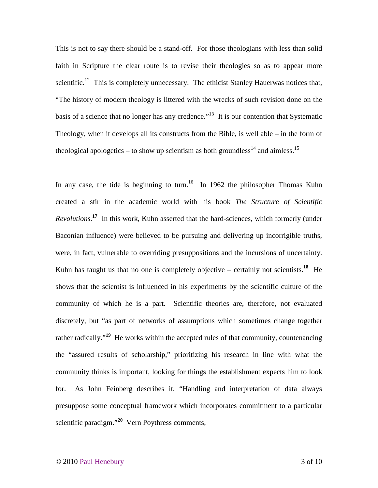This is not to say there should be a stand-off. For those theologians with less than solid faith in Scripture the clear route is to revise their theologies so as to appear more scientific.<sup>12</sup> This is completely unnecessary. The ethicist Stanley Hauerwas notices that, "The history of modern theology is littered with the wrecks of such revision done on the basis of a science that no longer has any credence."<sup>13</sup> It is our contention that Systematic Theology, when it develops all its constructs from the Bible, is well able – in the form of theological apologetics – to show up scientism as both groundless<sup>14</sup> and aimless.<sup>15</sup>

In any case, the tide is beginning to turn.<sup>16</sup> In 1962 the philosopher Thomas Kuhn created a stir in the academic world with his book *The Structure of Scientific Revolutions*. **<sup>17</sup>** In this work, Kuhn asserted that the hard-sciences, which formerly (under Baconian influence) were believed to be pursuing and delivering up incorrigible truths, were, in fact, vulnerable to overriding presuppositions and the incursions of uncertainty. Kuhn has taught us that no one is completely objective – certainly not scientists.<sup>18</sup> He shows that the scientist is influenced in his experiments by the scientific culture of the community of which he is a part. Scientific theories are, therefore, not evaluated discretely, but "as part of networks of assumptions which sometimes change together rather radically.<sup>"19</sup> He works within the accepted rules of that community, countenancing the "assured results of scholarship," prioritizing his research in line with what the community thinks is important, looking for things the establishment expects him to look for. As John Feinberg describes it, "Handling and interpretation of data always presuppose some conceptual framework which incorporates commitment to a particular scientific paradigm."**<sup>20</sup>** Vern Poythress comments,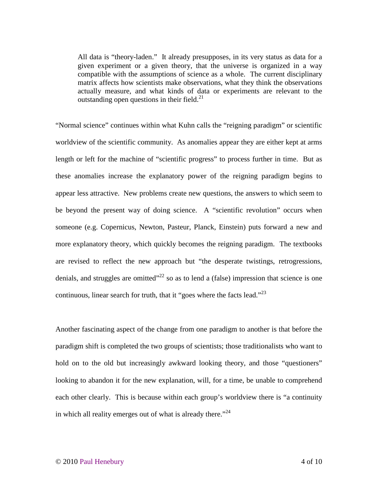All data is "theory-laden." It already presupposes, in its very status as data for a given experiment or a given theory, that the universe is organized in a way compatible with the assumptions of science as a whole. The current disciplinary matrix affects how scientists make observations, what they think the observations actually measure, and what kinds of data or experiments are relevant to the outstanding open questions in their field. $^{21}$ 

"Normal science" continues within what Kuhn calls the "reigning paradigm" or scientific worldview of the scientific community. As anomalies appear they are either kept at arms length or left for the machine of "scientific progress" to process further in time. But as these anomalies increase the explanatory power of the reigning paradigm begins to appear less attractive. New problems create new questions, the answers to which seem to be beyond the present way of doing science. A "scientific revolution" occurs when someone (e.g. Copernicus, Newton, Pasteur, Planck, Einstein) puts forward a new and more explanatory theory, which quickly becomes the reigning paradigm. The textbooks are revised to reflect the new approach but "the desperate twistings, retrogressions, denials, and struggles are omitted<sup> $22$ </sup> so as to lend a (false) impression that science is one continuous, linear search for truth, that it "goes where the facts lead."<sup>23</sup>

Another fascinating aspect of the change from one paradigm to another is that before the paradigm shift is completed the two groups of scientists; those traditionalists who want to hold on to the old but increasingly awkward looking theory, and those "questioners" looking to abandon it for the new explanation, will, for a time, be unable to comprehend each other clearly. This is because within each group's worldview there is "a continuity in which all reality emerges out of what is already there." $24$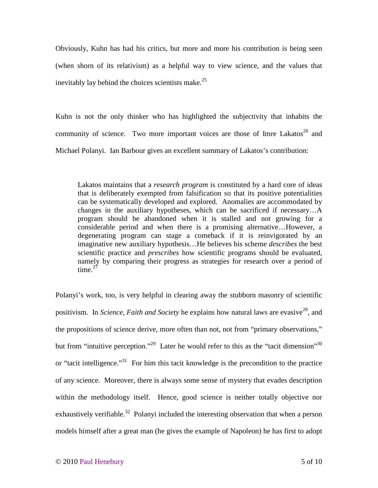Obviously, Kuhn has had his critics, but more and more his contribution is being seen (when shorn of its relativism) as a helpful way to view science, and the values that inevitably lay behind the choices scientists make. $25$ 

Kuhn is not the only thinker who has highlighted the subjectivity that inhabits the community of science. Two more important voices are those of Imre Lakatos<sup>26</sup> and Michael Polanyi. Ian Barbour gives an excellent summary of Lakatos's contribution:

Lakatos maintains that a *research program* is constituted by a hard core of ideas that is deliberately exempted from falsification so that its positive potentialities can be systematically developed and explored. Anomalies are accommodated by changes in the auxiliary hypotheses, which can be sacrificed if necessary…A program should be abandoned when it is stalled and not growing for a considerable period and when there is a promising alternative…However, a degenerating program can stage a comeback if it is reinvigorated by an imaginative new auxiliary hypothesis…He believes his scheme *describes* the best scientific practice and *prescribes* how scientific programs should be evaluated, namely by comparing their progress as strategies for research over a period of time. $27$ 

Polanyi's work, too, is very helpful in clearing away the stubborn masonry of scientific positivism. In *Science, Faith and Society* he explains how natural laws are evasive<sup>28</sup>, and the propositions of science derive, more often than not, not from "primary observations," but from "intuitive perception."<sup>29</sup> Later he would refer to this as the "tacit dimension"<sup>30</sup> or "tacit intelligence."<sup>31</sup> For him this tacit knowledge is the precondition to the practice of any science. Moreover, there is always some sense of mystery that evades description within the methodology itself. Hence, good science is neither totally objective nor exhaustively verifiable.<sup>32</sup> Polanyi included the interesting observation that when a person models himself after a great man (he gives the example of Napoleon) he has first to adopt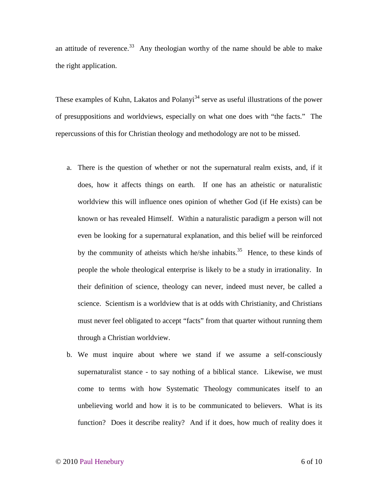an attitude of reverence.<sup>33</sup> Any theologian worthy of the name should be able to make the right application.

These examples of Kuhn, Lakatos and Polanyi<sup>34</sup> serve as useful illustrations of the power of presuppositions and worldviews, especially on what one does with "the facts." The repercussions of this for Christian theology and methodology are not to be missed.

- a. There is the question of whether or not the supernatural realm exists, and, if it does, how it affects things on earth. If one has an atheistic or naturalistic worldview this will influence ones opinion of whether God (if He exists) can be known or has revealed Himself. Within a naturalistic paradigm a person will not even be looking for a supernatural explanation, and this belief will be reinforced by the community of atheists which he/she inhabits.<sup>35</sup> Hence, to these kinds of people the whole theological enterprise is likely to be a study in irrationality. In their definition of science, theology can never, indeed must never, be called a science. Scientism is a worldview that is at odds with Christianity, and Christians must never feel obligated to accept "facts" from that quarter without running them through a Christian worldview.
- b. We must inquire about where we stand if we assume a self-consciously supernaturalist stance - to say nothing of a biblical stance. Likewise, we must come to terms with how Systematic Theology communicates itself to an unbelieving world and how it is to be communicated to believers. What is its function? Does it describe reality? And if it does, how much of reality does it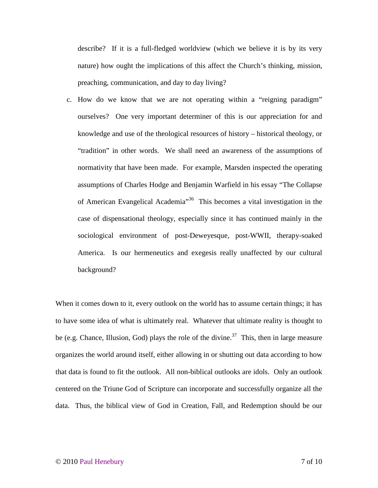describe? If it is a full-fledged worldview (which we believe it is by its very nature) how ought the implications of this affect the Church's thinking, mission, preaching, communication, and day to day living?

c. How do we know that we are not operating within a "reigning paradigm" ourselves? One very important determiner of this is our appreciation for and knowledge and use of the theological resources of history – historical theology, or "tradition" in other words. We shall need an awareness of the assumptions of normativity that have been made. For example, Marsden inspected the operating assumptions of Charles Hodge and Benjamin Warfield in his essay "The Collapse of American Evangelical Academia"<sup>36</sup> This becomes a vital investigation in the case of dispensational theology, especially since it has continued mainly in the sociological environment of post-Deweyesque, post-WWII, therapy-soaked America. Is our hermeneutics and exegesis really unaffected by our cultural background?

When it comes down to it, every outlook on the world has to assume certain things; it has to have some idea of what is ultimately real. Whatever that ultimate reality is thought to be (e.g. Chance, Illusion, God) plays the role of the divine.<sup>37</sup> This, then in large measure organizes the world around itself, either allowing in or shutting out data according to how that data is found to fit the outlook. All non-biblical outlooks are idols. Only an outlook centered on the Triune God of Scripture can incorporate and successfully organize all the data. Thus, the biblical view of God in Creation, Fall, and Redemption should be our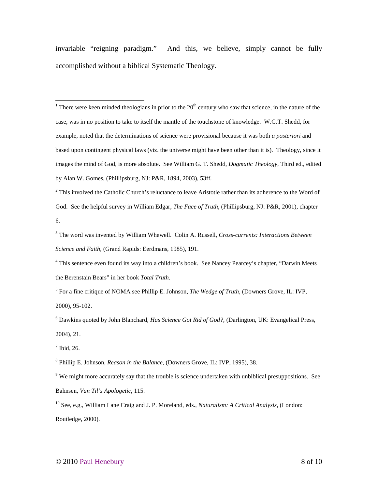invariable "reigning paradigm." And this, we believe, simply cannot be fully accomplished without a biblical Systematic Theology.

 $\frac{1}{1}$  There were keen minded theologians in prior to the 20<sup>th</sup> century who saw that science, in the nature of the case, was in no position to take to itself the mantle of the touchstone of knowledge. W.G.T. Shedd, for example, noted that the determinations of science were provisional because it was both *a posteriori* and based upon contingent physical laws (viz. the universe might have been other than it is). Theology, since it images the mind of God, is more absolute. See William G. T. Shedd, *Dogmatic Theology*, Third ed., edited by Alan W. Gomes, (Phillipsburg, NJ: P&R, 1894, 2003), 53ff.

<sup>2</sup> This involved the Catholic Church's reluctance to leave Aristotle rather than its adherence to the Word of God. See the helpful survey in William Edgar, *The Face of Truth*, (Phillipsburg, NJ: P&R, 2001), chapter 6.

3 The word was invented by William Whewell. Colin A. Russell, *Cross-currents: Interactions Between Science and Faith*, (Grand Rapids: Eerdmans, 1985), 191.

<sup>4</sup> This sentence even found its way into a children's book. See Nancey Pearcey's chapter, "Darwin Meets the Berenstain Bears" in her book *Total Truth.*

5 For a fine critique of NOMA see Phillip E. Johnson, *The Wedge of Truth*, (Downers Grove, IL: IVP, 2000), 95-102.

6 Dawkins quoted by John Blanchard, *Has Science Got Rid of God?*, (Darlington, UK: Evangelical Press, 2004), 21.

 $<sup>7</sup>$  Ibid, 26.</sup>

8 Phillip E. Johnson, *Reason in the Balance*, (Downers Grove, IL: IVP, 1995), 38.

<sup>9</sup> We might more accurately say that the trouble is science undertaken with unbiblical presuppositions. See Bahnsen, *Van Til's Apologetic*, 115.

<sup>10</sup> See, e.g., William Lane Craig and J. P. Moreland, eds., *Naturalism: A Critical Analysis*, (London: Routledge, 2000).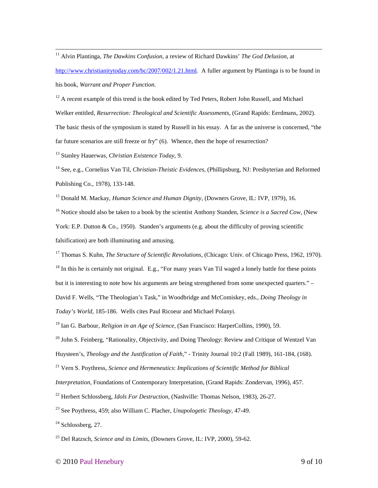<u>.</u> <sup>11</sup> Alvin Plantinga, *The Dawkins Confusion,* a review of Richard Dawkins' *The God Delusion*, at http://www.christianitytoday.com/bc/2007/002/1.21.html. A fuller argument by Plantinga is to be found in his book, *Warrant and Proper Function.* 

<sup>12</sup> A recent example of this trend is the book edited by Ted Peters, Robert John Russell, and Michael Welker entitled, *Resurrection: Theological and Scientific Assessments*, (Grand Rapids: Eerdmans, 2002). The basic thesis of the symposium is stated by Russell in his essay. A far as the universe is concerned, "the far future scenarios are still freeze or fry" (6). Whence, then the hope of resurrection?

<sup>13</sup> Stanley Hauerwas, *Christian Existence Today*, 9.

<sup>14</sup> See, e.g., Cornelius Van Til, *Christian-Theistic Evidences*, (Phillipsburg, NJ: Presbyterian and Reformed Publishing Co., 1978), 133-148.

<sup>15</sup> Donald M. Mackay, *Human Science and Human Dignity*, (Downers Grove, IL: IVP, 1979), 16.

<sup>16</sup> Notice should also be taken to a book by the scientist Anthony Standen, *Science is a Sacred Cow*, (New York: E.P. Dutton & Co., 1950). Standen's arguments (e.g. about the difficulty of proving scientific falsification) are both illuminating and amusing.

<sup>17</sup> Thomas S. Kuhn, *The Structure of Scientific Revolutions*, (Chicago: Univ. of Chicago Press, 1962, 1970). <sup>18</sup> In this he is certainly not original. E.g., "For many years Van Til waged a lonely battle for these points but it is interesting to note how his arguments are being strengthened from some unexpected quarters." – David F. Wells, "The Theologian's Task," in Woodbridge and McComiskey, eds., *Doing Theology in* 

*Today's World*, 185-186. Wells cites Paul Ricoeur and Michael Polanyi.

<sup>19</sup> Ian G. Barbour, *Religion in an Age of Science*, (San Francisco: HarperCollins, 1990), 59.

 $^{20}$  John S. Feinberg, "Rationality, Objectivity, and Doing Theology: Review and Critique of Wentzel Van Huysteen's, *Theology and the Justification of Faith,*" - Trinity Journal 10:2 (Fall 1989), 161-184, (168).

<sup>21</sup> Vern S. Poythress, *Science and Hermeneutics*: *Implications of Scientific Method for Biblical* 

*Interpretation*, Foundations of Contemporary Interpretation, (Grand Rapids: Zondervan, 1996), 457.

<sup>22</sup> Herbert Schlossberg, *Idols For Destruction*, (Nashville: Thomas Nelson, 1983), 26-27.

<sup>23</sup> See Poythress, 459; also William C. Placher, *Unapologetic Theology*, 47-49.

 $24$  Schlossberg, 27.

<sup>25</sup> Del Ratzsch, *Science and its Limits*, (Downers Grove, IL: IVP, 2000), 59-62.